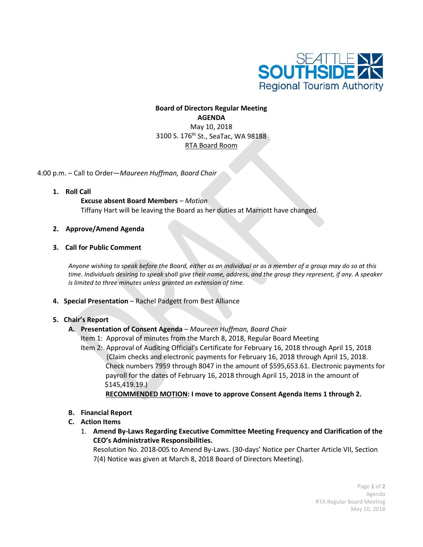

# **Board of Directors Regular Meeting AGENDA** May 10, 2018 3100 S. 176<sup>th</sup> St., SeaTac, WA 98188 RTA Board Room

4:00 p.m. – Call to Order—*Maureen Huffman, Board Chair*

**1. Roll Call**

**Excuse absent Board Members** *– Motion* Tiffany Hart will be leaving the Board as her duties at Marriott have changed.

- **2. Approve/Amend Agenda**
- **3. Call for Public Comment**

*Anyone wishing to speak before the Board, either as an individual or as a member of a group may do so at this time. Individuals desiring to speak shall give their name, address, and the group they represent, if any. A speaker is limited to three minutes unless granted an extension of time.*

**4. Special Presentation** – Rachel Padgett from Best Alliance

## **5. Chair's Report**

## **A. Presentation of Consent Agenda** *– Maureen Huffman, Board Chair*

Item 1: Approval of minutes from the March 8, 2018, Regular Board Meeting

Item 2: Approval of Auditing Official's Certificate for February 16, 2018 through April 15, 2018 (Claim checks and electronic payments for February 16, 2018 through April 15, 2018. Check numbers 7959 through 8047 in the amount of \$595,653.61. Electronic payments for payroll for the dates of February 16, 2018 through April 15, 2018 in the amount of \$145,419.19.)

## **RECOMMENDED MOTION: I move to approve Consent Agenda Items 1 through 2.**

## **B. Financial Report**

## **C. Action Items**

1. **Amend By-Laws Regarding Executive Committee Meeting Frequency and Clarification of the CEO's Administrative Responsibilities.**

Resolution No. 2018-005 to Amend By-Laws. (30-days' Notice per Charter Article VII, Section 7(4) Notice was given at March 8, 2018 Board of Directors Meeting).

> Page **1** of **2** Agenda RTA Regular Board Meeting May 10, 2018